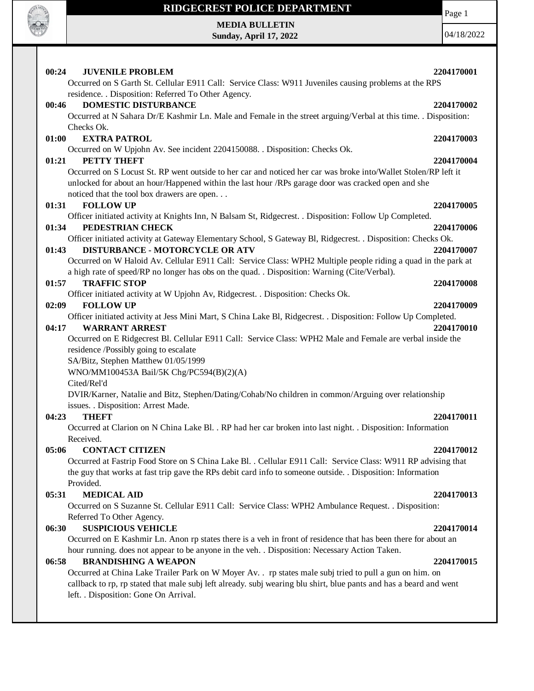

**MEDIA BULLETIN Sunday, April 17, 2022** Page 1

04/18/2022

| 00:24<br><b>JUVENILE PROBLEM</b><br>2204170001                                                                     |  |
|--------------------------------------------------------------------------------------------------------------------|--|
| Occurred on S Garth St. Cellular E911 Call: Service Class: W911 Juveniles causing problems at the RPS              |  |
| residence. . Disposition: Referred To Other Agency.                                                                |  |
| <b>DOMESTIC DISTURBANCE</b><br>00:46<br>2204170002                                                                 |  |
| Occurred at N Sahara Dr/E Kashmir Ln. Male and Female in the street arguing/Verbal at this time. . Disposition:    |  |
| Checks Ok.                                                                                                         |  |
| <b>EXTRA PATROL</b><br>01:00<br>2204170003                                                                         |  |
| Occurred on W Upjohn Av. See incident 2204150088. . Disposition: Checks Ok.                                        |  |
| PETTY THEFT<br>01:21<br>2204170004                                                                                 |  |
| Occurred on S Locust St. RP went outside to her car and noticed her car was broke into/Wallet Stolen/RP left it    |  |
| unlocked for about an hour/Happened within the last hour /RPs garage door was cracked open and she                 |  |
| noticed that the tool box drawers are open                                                                         |  |
| 01:31<br><b>FOLLOW UP</b><br>2204170005                                                                            |  |
| Officer initiated activity at Knights Inn, N Balsam St, Ridgecrest. . Disposition: Follow Up Completed.            |  |
| PEDESTRIAN CHECK<br>01:34<br>2204170006                                                                            |  |
| Officer initiated activity at Gateway Elementary School, S Gateway Bl, Ridgecrest. . Disposition: Checks Ok.       |  |
| <b>DISTURBANCE - MOTORCYCLE OR ATV</b><br>2204170007<br>01:43                                                      |  |
| Occurred on W Haloid Av. Cellular E911 Call: Service Class: WPH2 Multiple people riding a quad in the park at      |  |
| a high rate of speed/RP no longer has obs on the quad. . Disposition: Warning (Cite/Verbal).                       |  |
| <b>TRAFFIC STOP</b><br>01:57<br>2204170008                                                                         |  |
| Officer initiated activity at W Upjohn Av, Ridgecrest. . Disposition: Checks Ok.                                   |  |
| 02:09<br><b>FOLLOW UP</b><br>2204170009                                                                            |  |
| Officer initiated activity at Jess Mini Mart, S China Lake Bl, Ridgecrest. . Disposition: Follow Up Completed.     |  |
| 04:17<br><b>WARRANT ARREST</b><br>2204170010                                                                       |  |
| Occurred on E Ridgecrest Bl. Cellular E911 Call: Service Class: WPH2 Male and Female are verbal inside the         |  |
| residence /Possibly going to escalate                                                                              |  |
| SA/Bitz, Stephen Matthew 01/05/1999                                                                                |  |
| WNO/MM100453A Bail/5K Chg/PC594(B)(2)(A)                                                                           |  |
| Cited/Rel'd                                                                                                        |  |
| DVIR/Karner, Natalie and Bitz, Stephen/Dating/Cohab/No children in common/Arguing over relationship                |  |
| issues. . Disposition: Arrest Made.<br><b>THEFT</b><br>04:23<br>2204170011                                         |  |
| Occurred at Clarion on N China Lake Bl. . RP had her car broken into last night. . Disposition: Information        |  |
| Received.                                                                                                          |  |
| <b>CONTACT CITIZEN</b><br>2204170012<br>05:06                                                                      |  |
| Occurred at Fastrip Food Store on S China Lake Bl. . Cellular E911 Call: Service Class: W911 RP advising that      |  |
| the guy that works at fast trip gave the RPs debit card info to someone outside. . Disposition: Information        |  |
| Provided.                                                                                                          |  |
| <b>MEDICAL AID</b><br>05:31<br>2204170013                                                                          |  |
| Occurred on S Suzanne St. Cellular E911 Call: Service Class: WPH2 Ambulance Request. . Disposition:                |  |
| Referred To Other Agency.                                                                                          |  |
| <b>SUSPICIOUS VEHICLE</b><br>06:30<br>2204170014                                                                   |  |
| Occurred on E Kashmir Ln. Anon rp states there is a veh in front of residence that has been there for about an     |  |
| hour running. does not appear to be anyone in the veh. . Disposition: Necessary Action Taken.                      |  |
| <b>BRANDISHING A WEAPON</b><br>06:58<br>2204170015                                                                 |  |
| Occurred at China Lake Trailer Park on W Moyer Av. . rp states male subj tried to pull a gun on him. on            |  |
|                                                                                                                    |  |
| callback to rp, rp stated that male subj left already. subj wearing blu shirt, blue pants and has a beard and went |  |
| left. . Disposition: Gone On Arrival.                                                                              |  |
|                                                                                                                    |  |
|                                                                                                                    |  |
|                                                                                                                    |  |
|                                                                                                                    |  |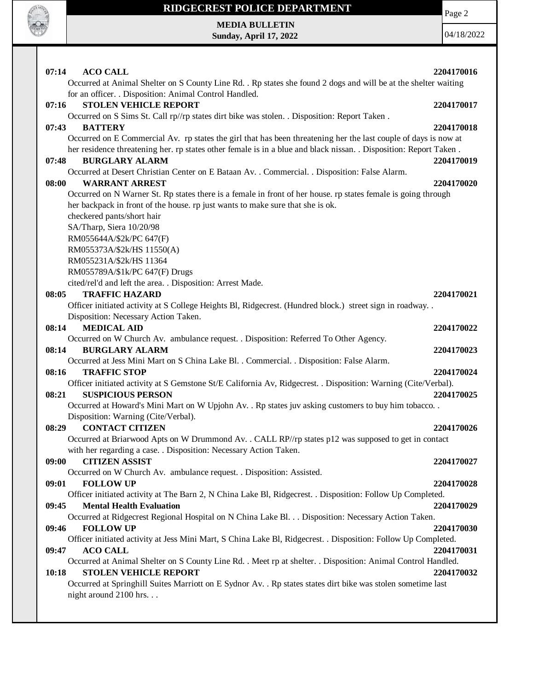

Page 2

**MEDIA BULLETIN Sunday, April 17, 2022**

04/18/2022

| 07:14 | <b>ACO CALL</b><br>Occurred at Animal Shelter on S County Line Rd. . Rp states she found 2 dogs and will be at the shelter waiting     | 2204170016 |
|-------|----------------------------------------------------------------------------------------------------------------------------------------|------------|
|       | for an officer. . Disposition: Animal Control Handled.                                                                                 |            |
| 07:16 | <b>STOLEN VEHICLE REPORT</b>                                                                                                           | 2204170017 |
|       | Occurred on S Sims St. Call rp//rp states dirt bike was stolen. . Disposition: Report Taken.                                           |            |
| 07:43 | <b>BATTERY</b>                                                                                                                         | 2204170018 |
|       | Occurred on E Commercial Av. rp states the girl that has been threatening her the last couple of days is now at                        |            |
|       | her residence threatening her. rp states other female is in a blue and black nissan. . Disposition: Report Taken.                      |            |
| 07:48 | <b>BURGLARY ALARM</b>                                                                                                                  | 2204170019 |
|       | Occurred at Desert Christian Center on E Bataan Av. . Commercial. . Disposition: False Alarm.                                          |            |
| 08:00 | <b>WARRANT ARREST</b>                                                                                                                  | 2204170020 |
|       | Occurred on N Warner St. Rp states there is a female in front of her house. rp states female is going through                          |            |
|       | her backpack in front of the house. rp just wants to make sure that she is ok.                                                         |            |
|       |                                                                                                                                        |            |
|       | checkered pants/short hair                                                                                                             |            |
|       | SA/Tharp, Siera 10/20/98                                                                                                               |            |
|       | RM055644A/\$2k/PC 647(F)                                                                                                               |            |
|       | RM055373A/\$2k/HS 11550(A)                                                                                                             |            |
|       | RM055231A/\$2k/HS 11364                                                                                                                |            |
|       | RM055789A/\$1k/PC 647(F) Drugs                                                                                                         |            |
|       | cited/rel'd and left the area. . Disposition: Arrest Made.                                                                             |            |
| 08:05 | <b>TRAFFIC HAZARD</b>                                                                                                                  | 2204170021 |
|       | Officer initiated activity at S College Heights Bl, Ridgecrest. (Hundred block.) street sign in roadway                                |            |
|       | Disposition: Necessary Action Taken.                                                                                                   |            |
| 08:14 | <b>MEDICAL AID</b>                                                                                                                     | 2204170022 |
|       | Occurred on W Church Av. ambulance request. . Disposition: Referred To Other Agency.                                                   |            |
| 08:14 | <b>BURGLARY ALARM</b>                                                                                                                  | 2204170023 |
|       | Occurred at Jess Mini Mart on S China Lake Bl. . Commercial. . Disposition: False Alarm.                                               |            |
| 08:16 | <b>TRAFFIC STOP</b>                                                                                                                    | 2204170024 |
|       | Officer initiated activity at S Gemstone St/E California Av, Ridgecrest. . Disposition: Warning (Cite/Verbal).                         |            |
| 08:21 | <b>SUSPICIOUS PERSON</b>                                                                                                               | 2204170025 |
|       | Occurred at Howard's Mini Mart on W Upjohn Av. . Rp states juv asking customers to buy him tobacco. .                                  |            |
|       | Disposition: Warning (Cite/Verbal).                                                                                                    |            |
| 08:29 | <b>CONTACT CITIZEN</b>                                                                                                                 | 2204170026 |
|       | Occurred at Briarwood Apts on W Drummond Av. . CALL RP//rp states p12 was supposed to get in contact                                   |            |
|       | with her regarding a case. . Disposition: Necessary Action Taken.                                                                      |            |
| 09:00 | <b>CITIZEN ASSIST</b>                                                                                                                  | 2204170027 |
|       | Occurred on W Church Av. ambulance request. . Disposition: Assisted.                                                                   |            |
| 09:01 | <b>FOLLOW UP</b>                                                                                                                       | 2204170028 |
|       | Officer initiated activity at The Barn 2, N China Lake Bl, Ridgecrest. . Disposition: Follow Up Completed.                             |            |
| 09:45 | <b>Mental Health Evaluation</b>                                                                                                        | 2204170029 |
|       | Occurred at Ridgecrest Regional Hospital on N China Lake Bl. Disposition: Necessary Action Taken.                                      |            |
| 09:46 | <b>FOLLOW UP</b>                                                                                                                       | 2204170030 |
|       | Officer initiated activity at Jess Mini Mart, S China Lake Bl, Ridgecrest. . Disposition: Follow Up Completed.                         |            |
| 09:47 | <b>ACO CALL</b>                                                                                                                        | 2204170031 |
|       | Occurred at Animal Shelter on S County Line Rd. . Meet rp at shelter. . Disposition: Animal Control Handled.                           |            |
| 10:18 | <b>STOLEN VEHICLE REPORT</b>                                                                                                           | 2204170032 |
|       | Occurred at Springhill Suites Marriott on E Sydnor Av. . Rp states states dirt bike was stolen sometime last<br>night around 2100 hrs. |            |
|       |                                                                                                                                        |            |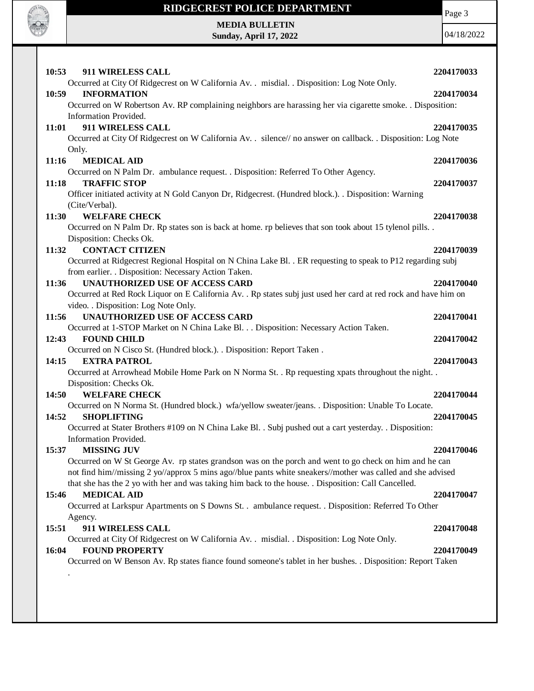

Page 3

**MEDIA BULLETIN Sunday, April 17, 2022**

04/18/2022

| 10:53 | <b>911 WIRELESS CALL</b>                                                                                         | 2204170033 |
|-------|------------------------------------------------------------------------------------------------------------------|------------|
|       | Occurred at City Of Ridgecrest on W California Av. . misdial. . Disposition: Log Note Only.                      |            |
| 10:59 | <b>INFORMATION</b>                                                                                               | 2204170034 |
|       | Occurred on W Robertson Av. RP complaining neighbors are harassing her via cigarette smoke. . Disposition:       |            |
|       | Information Provided.                                                                                            |            |
| 11:01 | 911 WIRELESS CALL                                                                                                | 2204170035 |
|       | Occurred at City Of Ridgecrest on W California Av. . silence// no answer on callback. . Disposition: Log Note    |            |
|       | Only.                                                                                                            |            |
| 11:16 | <b>MEDICAL AID</b>                                                                                               | 2204170036 |
|       | Occurred on N Palm Dr. ambulance request. . Disposition: Referred To Other Agency.                               |            |
| 11:18 | <b>TRAFFIC STOP</b>                                                                                              | 2204170037 |
|       | Officer initiated activity at N Gold Canyon Dr, Ridgecrest. (Hundred block.). . Disposition: Warning             |            |
|       | (Cite/Verbal).                                                                                                   |            |
| 11:30 | <b>WELFARE CHECK</b>                                                                                             | 2204170038 |
|       | Occurred on N Palm Dr. Rp states son is back at home. rp believes that son took about 15 tylenol pills. .        |            |
|       | Disposition: Checks Ok.                                                                                          |            |
| 11:32 | <b>CONTACT CITIZEN</b>                                                                                           | 2204170039 |
|       | Occurred at Ridgecrest Regional Hospital on N China Lake Bl. . ER requesting to speak to P12 regarding subj      |            |
| 11:36 | from earlier. . Disposition: Necessary Action Taken.<br><b>UNAUTHORIZED USE OF ACCESS CARD</b>                   | 2204170040 |
|       | Occurred at Red Rock Liquor on E California Av. . Rp states subj just used her card at red rock and have him on  |            |
|       | video. . Disposition: Log Note Only.                                                                             |            |
| 11:56 | <b>UNAUTHORIZED USE OF ACCESS CARD</b>                                                                           | 2204170041 |
|       | Occurred at 1-STOP Market on N China Lake Bl. Disposition: Necessary Action Taken.                               |            |
| 12:43 | <b>FOUND CHILD</b>                                                                                               | 2204170042 |
|       | Occurred on N Cisco St. (Hundred block.). . Disposition: Report Taken.                                           |            |
| 14:15 | <b>EXTRA PATROL</b>                                                                                              | 2204170043 |
|       | Occurred at Arrowhead Mobile Home Park on N Norma St. . Rp requesting xpats throughout the night. .              |            |
|       | Disposition: Checks Ok.                                                                                          |            |
| 14:50 | <b>WELFARE CHECK</b>                                                                                             | 2204170044 |
|       | Occurred on N Norma St. (Hundred block.) wfa/yellow sweater/jeans. . Disposition: Unable To Locate.              |            |
| 14:52 | <b>SHOPLIFTING</b>                                                                                               | 2204170045 |
|       | Occurred at Stater Brothers #109 on N China Lake Bl. . Subj pushed out a cart yesterday. . Disposition:          |            |
|       | Information Provided.                                                                                            |            |
| 15:37 | <b>MISSING JUV</b>                                                                                               | 2204170046 |
|       | Occurred on W St George Av. rp states grandson was on the porch and went to go check on him and he can           |            |
|       | not find him//missing 2 yo//approx 5 mins ago//blue pants white sneakers//mother was called and she advised      |            |
|       | that she has the 2 yo with her and was taking him back to the house. . Disposition: Call Cancelled.              |            |
| 15:46 | <b>MEDICAL AID</b>                                                                                               | 2204170047 |
|       | Occurred at Larkspur Apartments on S Downs St. . ambulance request. . Disposition: Referred To Other             |            |
|       | Agency.                                                                                                          |            |
| 15:51 | 911 WIRELESS CALL<br>Occurred at City Of Ridgecrest on W California Av. . misdial. . Disposition: Log Note Only. | 2204170048 |
| 16:04 | <b>FOUND PROPERTY</b>                                                                                            | 2204170049 |
|       | Occurred on W Benson Av. Rp states fiance found someone's tablet in her bushes. . Disposition: Report Taken      |            |
|       |                                                                                                                  |            |
|       |                                                                                                                  |            |
|       |                                                                                                                  |            |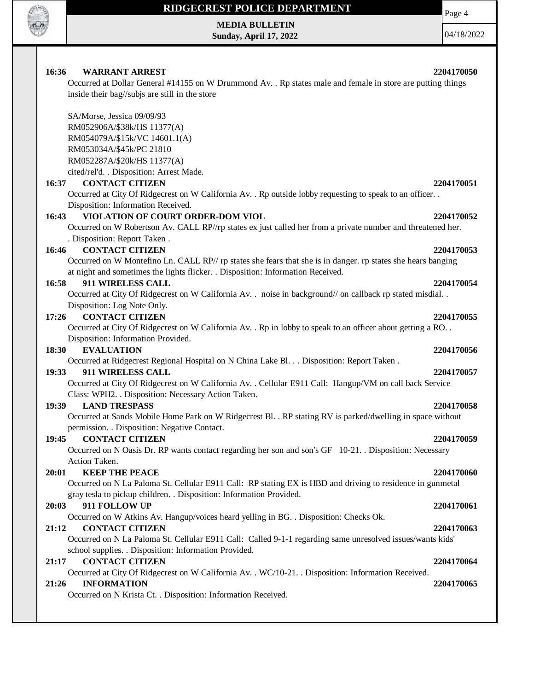